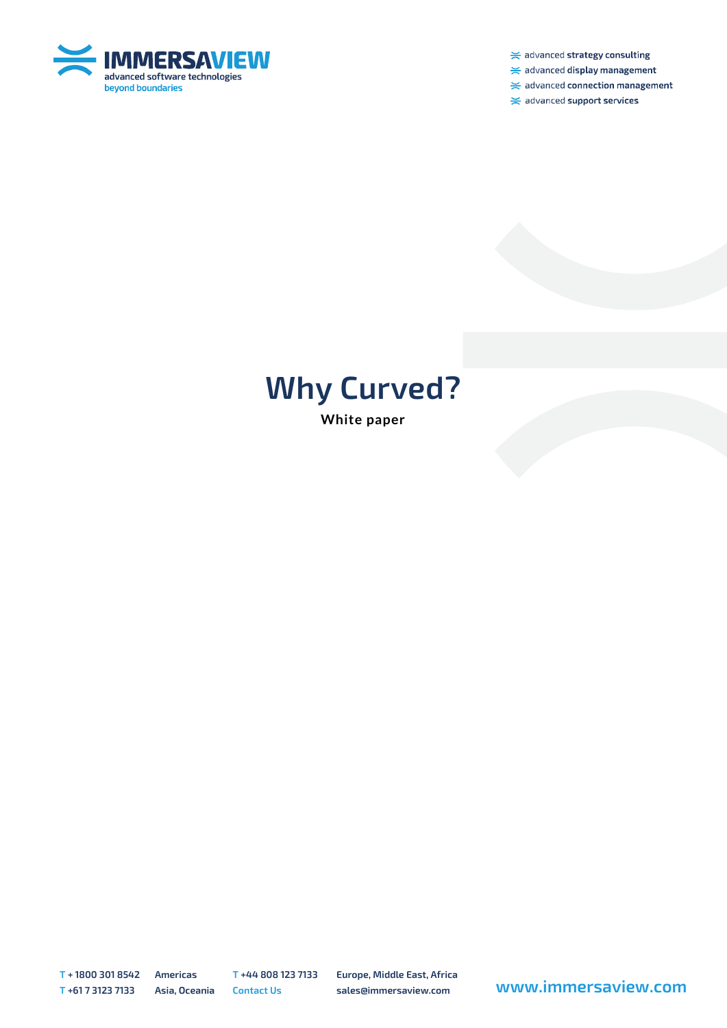

 $\ge$  advanced strategy consulting

 $\ge$  advanced display management

 $\ge$  advanced connection management

 $\ge$  advanced support services

## **Why Curved?**

**White paper**

**T + 1800 301 8542 Americas T +44 808 123 7133 Europe, Middle East, Africa**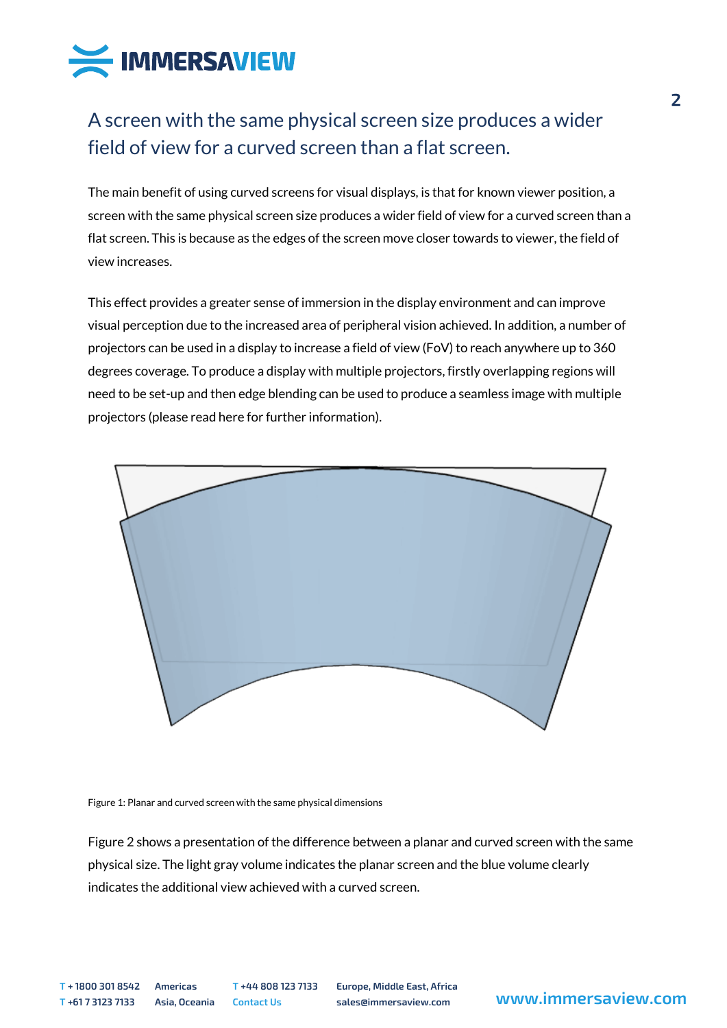

## A screen with the same physical screen size produces a wider field of view for a curved screen than a flat screen.

The main benefit of using curved screens for visual displays, is that for known viewer position, a screen with the same physical screen size produces a wider field of view for a curved screen than a flat screen. This is because as the edges of the screen move closer towards to viewer, the field of view increases.

This effect provides a greater sense of immersion in the display environment and can improve visual perception due to the increased area of peripheral vision achieved. In addition, a number of projectors can be used in a display to increase a field of view (FoV) to reach anywhere up to 360 degrees coverage. To produce a display with multiple projectors, firstly overlapping regions will need to be set-up and then edge blending can be used to produce a seamless image with multiple projectors (please read here for further information).



## Figure 1: Planar and curved screen with the same physical dimensions

Figure 2 shows a presentation of the difference between a planar and curved screen with the same physical size. The light gray volume indicates the planar screen and the blue volume clearly indicates the additional view achieved with a curved screen.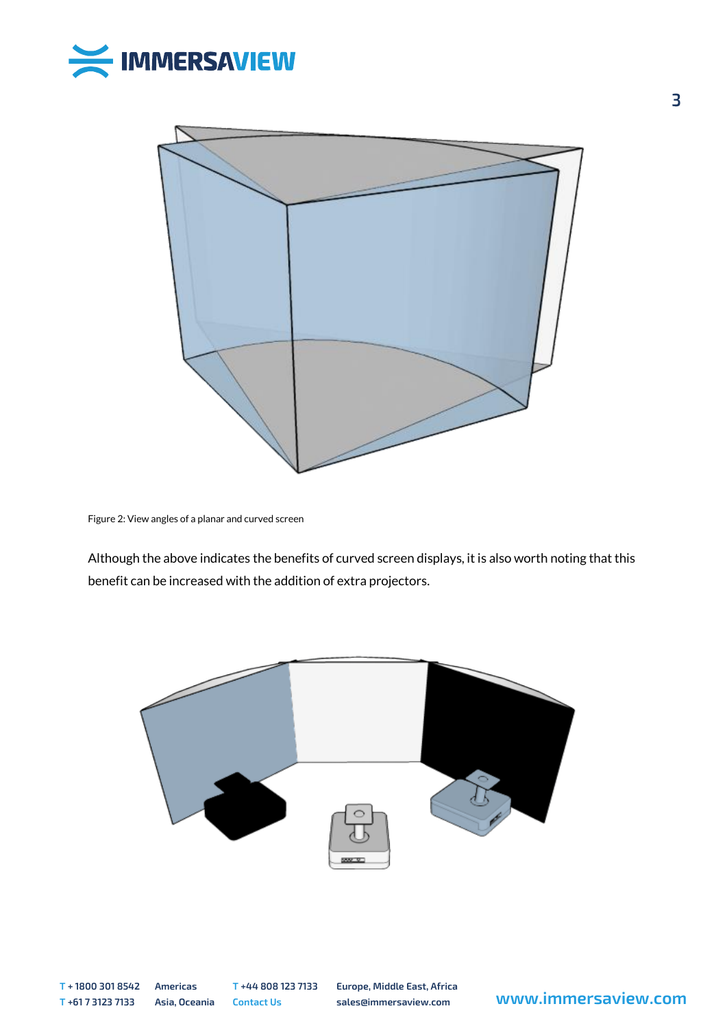



Figure 2: View angles of a planar and curved screen

Although the above indicates the benefits of curved screen displays, it is also worth noting that this benefit can be increased with the addition of extra projectors.



 $\overline{\mathbf{3}}$